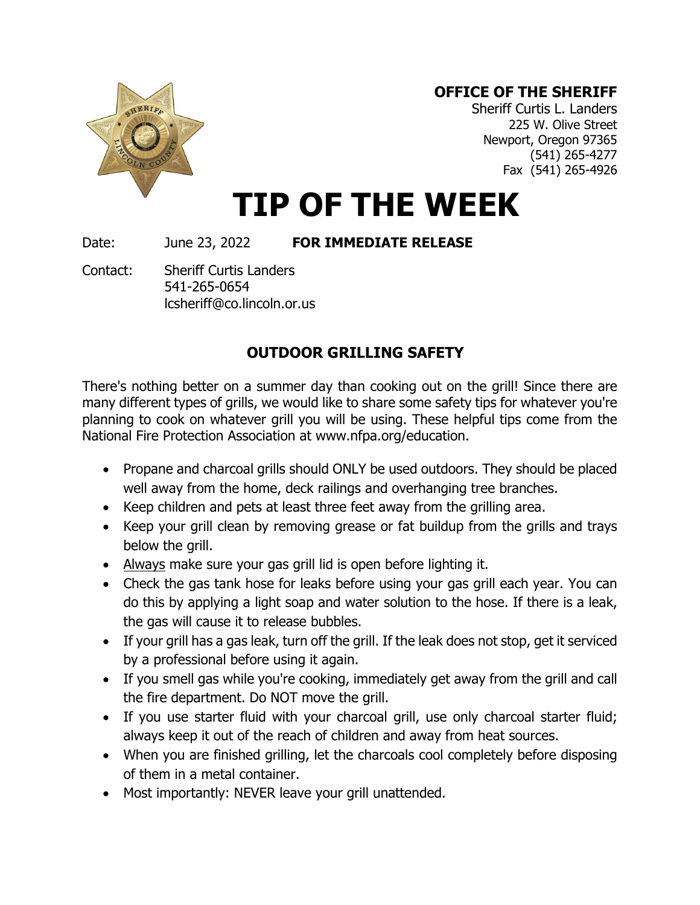## **OFFICE OF THE SHERIFF**



Sheriff Curtis L. Landers 225 W. Olive Street Newport, Oregon 97365 (541) 265-4277 Fax (541) 265-4926

## **TIP OF THE WEEK**

Date: June 23, 2022 **FOR IMMEDIATE RELEASE**

Contact: Sheriff Curtis Landers 541-265-0654 lcsheriff@co.lincoln.or.us

## **OUTDOOR GRILLING SAFETY**

There's nothing better on a summer day than cooking out on the grill! Since there are many different types of grills, we would like to share some safety tips for whatever you're planning to cook on whatever grill you will be using. These helpful tips come from the National Fire Protection Association at www.nfpa.org/education.

- Propane and charcoal grills should ONLY be used outdoors. They should be placed well away from the home, deck railings and overhanging tree branches.
- Keep children and pets at least three feet away from the grilling area.
- Keep your grill clean by removing grease or fat buildup from the grills and trays below the grill.
- Always make sure your gas grill lid is open before lighting it.
- Check the gas tank hose for leaks before using your gas grill each year. You can do this by applying a light soap and water solution to the hose. If there is a leak, the gas will cause it to release bubbles.
- If your grill has a gas leak, turn off the grill. If the leak does not stop, get it serviced by a professional before using it again.
- If you smell gas while you're cooking, immediately get away from the grill and call the fire department. Do NOT move the grill.
- If you use starter fluid with your charcoal grill, use only charcoal starter fluid; always keep it out of the reach of children and away from heat sources.
- When you are finished grilling, let the charcoals cool completely before disposing of them in a metal container.
- Most importantly: NEVER leave your grill unattended.